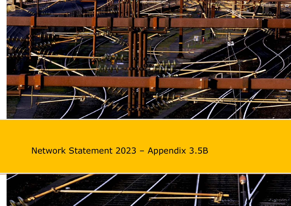

# Network Statement 2023 – Appendix 3.5B

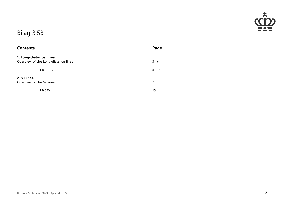

#### Bilag 3.5B

| <b>Contents</b>                     | Page           |
|-------------------------------------|----------------|
| 1. Long-distance lines              |                |
| Overview of the Long-distance lines | $3 - 6$        |
| $TIB 1 - 35$                        | $8 - 14$       |
| 2. S-Lines                          |                |
| Overview of the S-Lines             | $\overline{7}$ |
| <b>TIB 820</b>                      | 15             |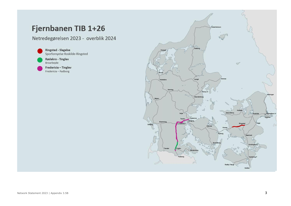## Fjernbanen TIB 1+26

Netredegørelsen 2023 - overblik 2024

**Ringsted - Slagelse** Sporfornyelse Roskilde-Ringsted

Rødekro - Tinglev Broarbejde

Fredericia - Tinglev Fredericia - Padborg

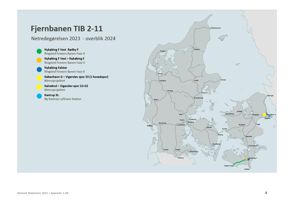#### Fjernbanen TIB 2-11

Netredegørelsen 2023 - overblik 2024

Nykøbing F Vest Rødby F Ringsted Femern Banen Fase II

Nykøbing F Vest - Nykøbing F Ringsted Femern Banen Fase II

**Nykøbing Falster** Ringsted Femern Banen Fase II

København G - Vigerslev spor 23 (1 hovedspor) Metroprojektet

Kalvebod - Vigerslev spor 21+22 Metroprojektet

Kastrup St. Ny Kastrup Lufthavn Station

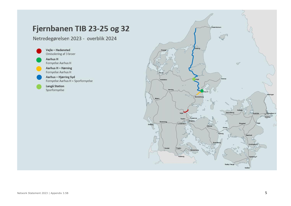### Fjernbanen TIB 23-25 og 32

Netredegørelsen 2023 - overblik 2024

Vejle - Hedensted Omisolering af 3 broer Aarhus H Fornyelse Aarhus H Aarhus H - Hørning Fornyelse Aarhus H Aarhus - Hjørring Syd Fornyelse Aarhus H + Sporfornyelse

Langå Station Sporfornyelse

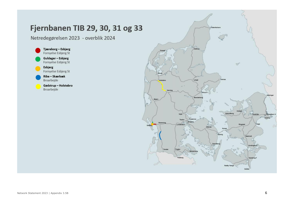## Fjernbanen TIB 29, 30, 31 og 33

Netredegørelsen 2023 - overblik 2024



Esbjerg Fornyelse Esbjerg St

Ribe – Skærbæk Broarbejde

Gødstrup - Holstebro Broarbejde

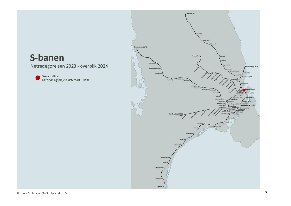## S-banen

Netredegørelsen 2023 - overblik 2024

Svanemøllen Køreledningsprojekt Østerport - Holte

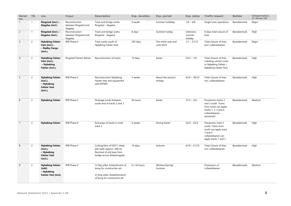| <b>Serial</b><br>no. | <b>TIB</b>     | Line                                                                                 | Project                                            | <b>Description</b>                                                                                                            | Exp. duration | Exp. period                       | Exp. dates                    | <b>Traffic impact</b>                                                                                                      | <b>Builder</b> | Categorisation,<br>cf. Annex VII |
|----------------------|----------------|--------------------------------------------------------------------------------------|----------------------------------------------------|-------------------------------------------------------------------------------------------------------------------------------|---------------|-----------------------------------|-------------------------------|----------------------------------------------------------------------------------------------------------------------------|----------------|----------------------------------|
| $\mathbf{1}$         | $\mathbf{1}$   | Ringsted (incl.) -<br>Slagelse (incl.)                                               | Reconstruction<br>between Ringsted and<br>Slagelse | Track and bridge works<br>Ringsted - Slagelse                                                                                 | 9 weeks       | Summer holdiday                   | $1/6 - 4/8$                   | Single track operations                                                                                                    | Banedanmark    | Major                            |
| $\overline{2}$       | $\mathbf{1}$   | Ringsted (incl.) -<br>Slagelse (incl.)                                               | Reconstruction<br>between Ringsted and<br>Slagelse | Track and bridge works<br>Ringsted - Slagelse                                                                                 | 8 days        | Summer holday                     | Unknown,<br>summer<br>holiday | 8 days total closure of<br>lines                                                                                           | Banedanmark    | High                             |
| $\overline{3}$       | $\overline{2}$ | <b>Nykøbing Falster</b><br>Vest (incl.).<br>- Rødby Færge<br>(incl.).                | RFB Phase II                                       | Track works south of<br>Nykøbing Falster Vest                                                                                 | 365 days      | The entire year and<br>until 2029 | $1/1 - 31/12$                 | Total closure of lines<br>excl. Lollandsbanen                                                                              | Banedanmark    | Major                            |
| $\overline{4}$       | $\overline{2}$ | <b>Nykøbing Falster</b><br>Vest (incl.).<br>- Nykøbing<br>Falster (incl.).           | Ringsted Femern Banen                              | Reconstruction of tracks                                                                                                      | 10 days       | Easter                            | $23/3 - 1/4$                  | Total closure of lines<br>Lokaltog cannot come<br>to Nykøbing Falster /<br>Nykøbing Falster Vest                           | Banedanmark    | High                             |
| 5                    | $\overline{2}$ | <b>Nykøbing Falster</b><br>(incl.).<br>- Nykøbing<br><b>Falster Vest</b><br>(incl.). | RFB Phase II                                       | Reconstruction Nykøbing<br>Falster Vest and equipment<br>with ERTMS                                                           | 3 weeks       | About the autumn<br>holiday       | $4/10 - 28/10$                | Total closure of lines<br>incl. Lollandsbanen                                                                              | Banedanmark    | High                             |
| 6                    | $\overline{2}$ | <b>Nykøbing Falster</b>                                                              | RFB Phase II                                       | Drainage works between<br>south end of tracks 2 and 3                                                                         | 56 hours      | Easter                            | $31/3 - 3/4$                  | Possession tracks 2<br>and 3 south. Trains<br>from north can apply<br>tracks 1, 2, 3 and 4.<br>Lollandsbanen<br>possessed  | Banedanmark    | Medium                           |
| $\overline{7}$       | $\overline{2}$ | <b>Nykøbing Falster</b>                                                              | RFB Phase II                                       | Exchange of tracks in total<br>track 3                                                                                        | 4 weeks       | During Easter                     | $22/3 - 22/4$                 | Possession track 3<br>south. Trains from<br>north can apply track<br>3 and 4.<br>Lollandsbanen can<br>apply tracks 1 and 2 | Banedanmark    | High                             |
| 8                    | $\overline{2}$ | <b>Nykøbing Falster</b><br>(incl.).<br>- Nykøbing<br><b>Falster Vest</b><br>(incl.). | RFB Phase II                                       | Cutting/dive of E2011 sheet<br>pile walls (approx. 400 m)<br>Removal of old base from<br>bridge across Østerbrogade           | 14 days       | Autumn                            | $4/10 - 21/10$                | Total closure of lines<br>incl. Lollandsbanen                                                                              | Banedanmark    | High                             |
| 9                    | $\overline{2}$ | <b>Nykøbing Falster</b><br>(inkl).<br>- Nykøbing<br>Falster Vest (incl).             | RFB Phase II                                       | 1) Flap pillar: Estabishment of<br>bung for construction pit<br>2) Stop pillar: Establishmennt<br>of bung for constuction pit | 6 x 56 hours  | Winther/Spring/<br>Summer         |                               | Possession of<br>Lollandsbanen                                                                                             | Banedanmark    | Medium                           |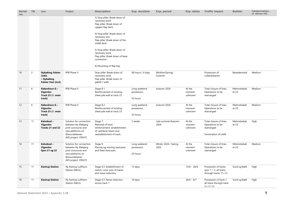| <b>Serial</b><br>no. | <b>TIB</b>     | Line                                                                            | Project                                                                                                                            | <b>Description</b>                                                                                                 | Exp. duration                          | Exp. period                  | Exp. dates                  | <b>Traffic impact</b>                                                            | <b>Builder</b>         | Categorisation,<br>cf. Annex VII |
|----------------------|----------------|---------------------------------------------------------------------------------|------------------------------------------------------------------------------------------------------------------------------------|--------------------------------------------------------------------------------------------------------------------|----------------------------------------|------------------------------|-----------------------------|----------------------------------------------------------------------------------|------------------------|----------------------------------|
|                      |                |                                                                                 |                                                                                                                                    | 3) Stop pillar: Break down of<br>necessary work.<br>Flap pillar: Break down of<br>uppper flap deck.                |                                        |                              |                             |                                                                                  |                        |                                  |
|                      |                |                                                                                 |                                                                                                                                    | 4) Stop pillar: Break down of<br>necessary wor.<br>Flap pillar: Break down of the<br>middl deck                    |                                        |                              |                             |                                                                                  |                        |                                  |
|                      |                |                                                                                 |                                                                                                                                    | 5) Stop pillar: Break down of<br>necessary work.<br>Flap pillar: Break down of base<br>connection                  |                                        |                              |                             |                                                                                  |                        |                                  |
|                      |                |                                                                                 |                                                                                                                                    | 6) Mounting of flap bay                                                                                            |                                        |                              |                             |                                                                                  |                        |                                  |
| 10                   | $\overline{2}$ | <b>Nykøbing Falster</b><br>(inkl).<br>- Nykøbing<br><b>Falster Vest (incl).</b> | RFB Phase II                                                                                                                       | Stop pillar: Break down of<br>necessary work.<br>Flap pillar: Break down of<br>gablel / walls                      | 96 hours / 4 days                      | Winther/Spring/<br>Summer    |                             | Possession of<br>Lollandsbanen                                                   | Banedanmark            | Medium                           |
| 11                   | 6              | København G-<br><b>Vigerslev</b><br>Track 23 (1. main<br>track)                 | RFB Phase II                                                                                                                       | Stage 8.1:<br>Reinforcement of existing<br>sheet pile wall at track 23                                             | Long weekend<br>possession<br>55 hours | Autumn 2024                  | At the<br>moment<br>unknown | Total closure of lines,<br>Operations to be<br>rearranged                        | Metrosleskab<br>et I/S | Medium                           |
| 12                   | 6              | København G -<br><b>Vigerslev</b><br>Track 23 (1. main<br>track)                | RFB Phase II                                                                                                                       | Stage 8.2:<br>Reinforcement of existing<br>sheet pile wall at track 23                                             | Long weekend<br>possession<br>55 hours | Autumn 2024                  | At the<br>moment<br>unknown | Total closure of lines,<br>Operations to be<br>rearranged                        | Metrosleskab<br>et I/S | Medium                           |
| 13                   | 11             | Kalvebod-<br><b>Vigerslev</b><br>Tracks 21 and 22                               | Solution for connection<br>between Ny Ellebjerg<br>joint concourse and<br>new platforms on<br>Øresundsbanen<br>(MS project: CRSH7) | Stage 7:<br>Removal of track<br>reinforcement, establishment<br>of cantilever beam and<br>reestablishment of track | 2 weeks                                | Late summer/Autumn<br>2024   | At the<br>moment<br>unknown | Total closure of lines,<br>Operations to be<br>rearranged<br>Termination of LA40 | Metrosleskab<br>et I/S | High                             |
| 14                   | 11             | Kalvebod-<br>Vigerslev<br>Spor 21 og 22                                         | Solution for connection<br>between Ny Ellebjerg<br>joint concourse and<br>new platforms on<br>Øresundsbanen<br>(MS project: CRSH7) | Stage 9:<br>Placing og moving staircases<br>and fixed staircases                                                   | Long weekend<br>possession<br>55 hours | Winter 2024 / Spring<br>2025 | At the<br>moment<br>unknown | Total closure of lines,<br>Operations to be<br>rearranged                        | Metrosleskab<br>et I/S | Medium                           |
| 15                   | 11             | <b>Kastrup Station</b>                                                          | Ny Kastrup Lufthavn<br>Station (NKLS)                                                                                              | Stage 4.2: Establishment of<br>switch, cross over of tracks<br>and noise reduction                                 | 13 days                                |                              | $13/6 - 26/6$               | Possession of tracks<br>spor $1 + 2$ , all trains<br>through tracks 11+12        | Sund og Bælt           | High                             |
| 16                   | 11             | <b>Kastrup Station</b>                                                          | Ny Kastrup Lufthavn<br>Station (NKLS)                                                                                              | Stage 4.3: Noise reduction<br>across track 1                                                                       | 10 days                                |                              | $26/6 - 6/7$                | Possession of track 1,<br>all trains through track<br>$2 + 11 + 12$              | Sund og Bælt           | High                             |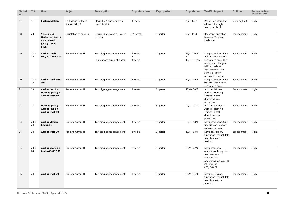| <b>Serial</b><br>no. | <b>TIB</b>   | Line                                                                              | Project                               | <b>Description</b>                           | Exp. duration  | Exp. period | Exp. dates      | <b>Traffic impact</b>                                                                                                                | <b>Builder</b> | Categorisation,<br>cf. Annex VII |
|----------------------|--------------|-----------------------------------------------------------------------------------|---------------------------------------|----------------------------------------------|----------------|-------------|-----------------|--------------------------------------------------------------------------------------------------------------------------------------|----------------|----------------------------------|
| 17                   | 11           | <b>Kastrup Station</b>                                                            | Ny Kastrup Lufthavn<br>Station (NKLS) | Stage 4.5: Noise reduction<br>across track 2 | 10 days        |             | $7/7 - 17/7$    | Possession of track 2,<br>all trains through<br>tracks $1+11+12$                                                                     | Sund og Bælt   | High                             |
| 18                   | 23           | Vejle (incl.) -<br>Hedensted (excl.)<br>/ Hedensted<br>(excl.) – Vejle<br>(incl.) | Reisolation of bridges                | 3 bridges are to be reisolated<br>isoleres   | 2*3 weeks      | 3. garter   | $5/7 - 19/8$    | Reduceret operations<br>between Vejle and<br>Hedensted                                                                               | Banedanmark    | High                             |
| 19                   | $23 +$<br>24 | <b>Aarhus tracks</b><br>600, 702-709, 800                                         | Renewal Aarhus H                      | Test digging/rearrangement<br>$\ddot{}$      | 4 weeks<br>$+$ | 2. garter   | $29/4 - 20/5$   | Day possessioon. One<br>track is taken out of                                                                                        | Banedanmark    | High                             |
|                      |              |                                                                                   |                                       | Foundation/raising of masts                  | 4 weeks        |             | $18/11 - 15/12$ | service at a time. This<br>means that changes<br>will be made to<br>operations to/from<br>service area for<br>passenegr coaches      |                |                                  |
| 20                   | $23 +$<br>24 | <b>Aarhus track 405-</b><br>407                                                   | Renewal Aarhus H                      | Test digging/rearrangement                   | 2 weeks        | 2. garter   | $21/5 - 09/6$   | Day possessioon. One<br>track is taken out of<br>service at a time.                                                                  | Banedanmark    | High                             |
| 21                   | 23           | Aarhus (incl.) -<br>Hørning (excl.) +<br>Aarhus track 40                          | Renewal Aarhus H                      | Test digging/rearrangement                   | 3 weeks        | 2. garter   | $10/6 - 30/6$   | All trains left track<br>Aarhus - Hørning,<br>4 trains in both<br>directions, day<br>possession                                      | Banedanmark    | High                             |
| 22                   | 23           | Hørning (excl.) -<br>Aarhus (incl.) +<br>Aarhus track 50                          | Renewal Aarhus H                      | Test digging/rearrangement                   | 3 weeks        | 3. garter   | $01/7 - 21/7$   | All trains left trackr<br>Aarhus - Hørning,<br>4 trains in both<br>directions, day<br>possession                                     | Banedanmark    | High                             |
| 23                   | $23 +$<br>24 | <b>Aarhus Station</b><br>tracks 4-8                                               | Renewal Aarhus H                      | Test digging/rearrangement                   | 4 weeks        | 3. garter   | $22/7 - 18/8$   | Day possessioon. One<br>track is taken out of<br>service at a time.                                                                  | Banedanmark    | High                             |
| 24                   | 24           | <b>Aarhus track 20</b>                                                            | Renewal Aarhus H                      | Test digging/rearrangement                   | 3 weeks        | 3. garter   | $19/8 - 08/9$   | Day popssession.<br>Operations though left<br>track Brabrand -<br>Aarhus                                                             | Banedanmark    | High                             |
| 25                   | $23 +$<br>24 | Aarhus spor 30 +<br>tracks 40/80 / 80                                             | Renewal Aarhus H                      | Test digging/rearrangement                   | 2 weeks        | 3. garter   | $09/9 - 22/9$   | Day possession,<br>operations though left<br>track Aarhus -<br>Brabrand. No<br>operations to/from TIB<br>23 to tracks<br>405,406,407 | Banedanmark    | High                             |
| 26                   | 24           | Aarhus track 20                                                                   | Renewal Aarhus H                      | Test digging/rearrangement                   | 3 weeks        | 4. garter   | $23/9 - 13/10$  | Day popssession.<br>Operations though left<br>track Brabrand -<br>Aarhus                                                             | Banedanmark    | High                             |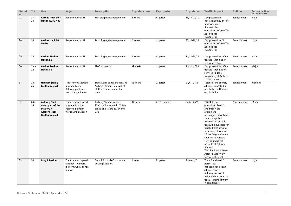| <b>Serial</b><br>no. | <b>TIB</b>   | Line                                                                                     | Project                                                                             | <b>Description</b>                                                                                  | Exp. duration | Exp. period     | Exp. dates    | <b>Traffic impact</b>                                                                                                                                                                                                                                                                                                                                                                                                 | <b>Builder</b> | Categorisation,<br>cf. Annex VII |
|----------------------|--------------|------------------------------------------------------------------------------------------|-------------------------------------------------------------------------------------|-----------------------------------------------------------------------------------------------------|---------------|-----------------|---------------|-----------------------------------------------------------------------------------------------------------------------------------------------------------------------------------------------------------------------------------------------------------------------------------------------------------------------------------------------------------------------------------------------------------------------|----------------|----------------------------------|
| 27                   | $23 +$<br>24 | Aarhus track 30 +<br>tracks 40/80 / 80                                                   | Renewal Aarhus H                                                                    | Test digging/rearrangement                                                                          | 2 weeks       | 4. garter       | 14/10-27/10   | Day possession,<br>operations though left<br>track Aarhus -<br>Brabrand. No<br>operations to/from TIB<br>23 to tracks<br>405,406,407                                                                                                                                                                                                                                                                                  | Banedanmark    | High                             |
| 28                   | 24           | Aarhus track 80<br>40/80                                                                 | Renewal Aarhus H                                                                    | Test digging/rearrangement                                                                          | 2 weeks       | 4. qarter       | 28/10-10/11   | Day possession. No<br>operations to/from TIB<br>23 to tracks<br>405,406,407                                                                                                                                                                                                                                                                                                                                           | Banedanmark    | High                             |
| 29                   | 24           | <b>Aarhus Station</b><br>tracks 2-3                                                      | Renewal Aarhus H                                                                    | Test digging/rearrangement                                                                          | 3 weeks       | 4. garter       | 11/11-30/11   | Day possessioon. One<br>track is taken out of<br>service at a time.                                                                                                                                                                                                                                                                                                                                                   | Banedanmark    | High                             |
| 30                   | $23 +$<br>24 | <b>Aarhus Station</b><br>tracks 4-8                                                      | Renewal Aarhus H                                                                    | Platform works                                                                                      | 39 weeks      | 4. garter       | 16/12 -2025   | Day possessioon. One<br>track is taken out of<br>service at a time.<br>No parking at Aarhus<br>H (station track)                                                                                                                                                                                                                                                                                                      | Banedanmark    | Major                            |
| 31                   | $24 +$<br>25 | Hadsten (excl.) -<br>Lindholm (excl.)                                                    | Track renewal, speed<br>upgrade Langå -<br>Aalborg, platform<br>works Langå Station | Track works Langå Station and<br>Aalborg Station. Removal of<br>platform tunnel under the<br>track. | 56 hours      | 2. garter       | $21/6 - 24/6$ | Total closure of lines,<br>all trains cancelled in<br>part between Hadsten<br>og Lindholm                                                                                                                                                                                                                                                                                                                             | Banedanmark    | Medium                           |
| 32                   | $24+$<br>25  | Aalborg (incl.<br>north part of the<br>Station) +<br>Aalborg (incl.)<br>Lindholm (excl.) | Track renewal, speed<br>upgrade Langå -<br>Aalborg, platform<br>works Langå Station | Aalborg Station switches<br>75a/b until 63a, track 17, 100<br>group and tracks 25, 27 and<br>27a.   | 34 days       | $2.+3.$ quarter | $24/6 - 26/7$ | TIB 24: Reduced<br>operations. Track 3<br>and track 4 are<br>available for<br>passenger trains. Track<br>1 can be applied<br>to/from TIB 25. Only<br>track 22 is available for<br>freight trains arriving<br>from south. From track<br>22 the freigt trains are<br>shunted to habour.<br>Turn-round is not<br>possible at Aalborg<br>Station.<br>TIB 25: All trains leave<br>Aalborg Station by<br>way of exit signal | Banedanmark    | Major                            |
| 33                   | 24           | Langå Station                                                                            | Track renewal, speed<br>upgrade - Aalborg,<br>platform works Langå<br>Station       | Demolitin of platform tunnel<br>at Langå Station.                                                   | 1 week        | 2. qarter       | $24/6 - 1/7$  | Track 2 and track 3<br>possessed.<br>Reduced operations,<br>all trains Aarhus -<br>Aalborg track 4, all<br>trains Aalborg - Aarhus<br>track 1. Trains to/from<br>Viborg track 1.                                                                                                                                                                                                                                      | Banedanmark    | High                             |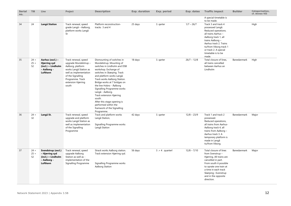| <b>Serial</b><br>no. | TIB                    | Line                                                                                     | Project                                                                                                                                                                                        | <b>Description</b>                                                                                                                                                                                                                                                                                                                                                                                                                                                 | Exp. duration | Exp. period        | Exp. dates    | <b>Traffic impact</b>                                                                                                                                                                                                                         | <b>Builder</b> | Categorisation,<br>cf. Annex VII |
|----------------------|------------------------|------------------------------------------------------------------------------------------|------------------------------------------------------------------------------------------------------------------------------------------------------------------------------------------------|--------------------------------------------------------------------------------------------------------------------------------------------------------------------------------------------------------------------------------------------------------------------------------------------------------------------------------------------------------------------------------------------------------------------------------------------------------------------|---------------|--------------------|---------------|-----------------------------------------------------------------------------------------------------------------------------------------------------------------------------------------------------------------------------------------------|----------------|----------------------------------|
|                      |                        |                                                                                          |                                                                                                                                                                                                |                                                                                                                                                                                                                                                                                                                                                                                                                                                                    |               |                    |               | A special timetable is<br>to be made.                                                                                                                                                                                                         |                |                                  |
| 34                   | 24                     | Langå Station                                                                            | Track renewal, speed<br>grade Langå – Aalborg,<br>platform works Langå<br>St                                                                                                                   | Platform reconstruction-<br>tracks 3 and 4                                                                                                                                                                                                                                                                                                                                                                                                                         | 25 days       | 3. garter          | $1/7 - 26/7$  | Track 3 and track 4<br>possessed Langå.<br>Reduced operations.<br>all trains Aarhus -<br>Aalborg track 1, all<br>trains Aalborg -<br>Aarhus track 2. Trains<br>to/from Viborg track 1<br>or track 2. A special<br>timetable is to be<br>made. |                | High                             |
| 35                   | $24 +$<br>$25 +$<br>52 | Aarhus (excl.) -<br><b>Hjørring syd</b><br>(incl.) + Lindholm<br>- Aalborg -<br>Lufthavn | Track renewal, speed<br>upgrade Mundelstrup -<br>Aalborg, platform<br>works Langå Station as<br>well as implementation<br>of the Signalling<br>Programme. Track<br>extension Hjørring<br>south | Dismounting of switches in<br>Mundelstrup. Mounting of<br>switches in Lindholm and DSB<br>workshop. Exchange of<br>switches in Skørping. Track<br>and platform works Langå.<br>Track works Aalborg Station.<br>Bridge works at 7 bridges on<br>the line Hobro - Åalborg<br>Signalling Programme works<br>Langå - Aalborg.<br>Track extension Hjørring<br>south.<br>After this stage opening is<br>performed within the<br>framwork of the Signalling<br>Programme. | 18 days       | 3. garter          | $26/7 - 12/8$ | Total closure of lines,<br>all trains cancelled<br>between Aarhus an<br>Lindholm                                                                                                                                                              | Banedanmark    | High                             |
| 36                   | $24 +$<br>32           | Langå St.                                                                                | Track renewal, speed<br>upgrade and platform<br>works Langå Station as<br>well as implementation<br>of the Signalling<br>Programme                                                             | Track and platform works<br>Langå Station,<br>Signalling Programme works<br>Langå Station                                                                                                                                                                                                                                                                                                                                                                          | 42 days       | 3. garter          | $12/8 - 23/9$ | Track 1 and track 2<br>possessed.<br>Reduced operations,<br>all trains from Aarhus-<br>Aalborg track 4, all<br>trains from Aalborg -<br>Aarhus track 3. A<br>temporary platform is<br>made in Langå<br>to/from Viborg.                        | Banedanmark    | Major                            |
| 37                   | $24 +$<br>$25 +$<br>52 | Svendstrup (excl.)<br>- Hjørring syd<br>(incl.) + Lindholm<br>- Aalborg -<br>Lufthavn    | Track renewal, speed<br>upgrade Aalborg<br>Station as well as -<br>implementation of the<br>Signalling Programme                                                                               | Strack works Aalborg station.<br>Track extension Hjørring syd.<br>Signalling Programme works<br>Aalborg Station                                                                                                                                                                                                                                                                                                                                                    | 56 days       | $3 + 4$ . quarterl | $12/8 - 7/10$ | Total closure of lines<br>from Svenstrup -<br>Hjørring. All trains are<br>cancelled in part.<br>From south it possible<br>to oprate one train at<br>a time in each track<br>Skørping -Svenstrup<br>and in the opposite<br>direction.          | Banedanmark    | Major                            |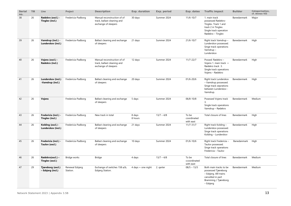| <b>Serial</b><br>no. | <b>TIB</b> | Line                                    | Project                     | <b>Description</b>                                                                 | Exp. duration      | Exp. period  | Exp. dates                         | <b>Traffic impact</b>                                                                                                             | <b>Builder</b> | Categorisation,<br>cf. Annex VII |
|----------------------|------------|-----------------------------------------|-----------------------------|------------------------------------------------------------------------------------|--------------------|--------------|------------------------------------|-----------------------------------------------------------------------------------------------------------------------------------|----------------|----------------------------------|
| 38                   | 26         | Rødekro (excl.) -<br>Tinglev (incl.)    | Fredericia-Padborg          | Manual reconstruction of of<br>track, ballast cleaning and<br>exchange of sleepers | 30 days            | Summer 2024  | $11/6 - 10/7$                      | 1. main track<br>possessed Rødekro-<br>Tinglev. Track 1 and<br>track 2 in Tinglev.<br>Single track operation<br>Rødekro - Tinglev | Banedanmark    | Major                            |
| 39                   | 26         | Vamdrup (incl.) -<br>Lunderskov (incl.) | Fredericia-Padborg          | Ballast cleaning and exchange<br>of sleepers                                       | 21 days            | Summer 2024  | $21/6 - 10/7$                      | Right track Vamdrup -<br>Lunderskov possessed.<br>Singe track operations<br>Vamdrup-<br>Lunderskov                                | Banedanmark    | High                             |
| 40                   | 26         | Vojens (excl.) -<br>Rødekro (incl.)     | Fredericia-Padborg          | Manual reconstruction of of<br>track, ballast cleaning and<br>exchange of sleepers | 12 days            | Summer 2024  | $11/7 - 22/7$                      | Possed: Rødekro -<br>Vojens 1. main track +<br>Rødekro track 3.<br>Single track operations<br>Vojens - Rødekro                    | Banedanmark    | High                             |
| 41                   | 26         | Lunderskov (incl.)<br>-Vamdrup (incl.)  | Fredericia-Padborg          | Ballast cleaning and exchange<br>of sleepers                                       | 20 days            | Summer 2024  | $01/6 - 20/6$                      | Right track Lunderskov<br>- Vamdrup possessed.<br>Singe track oeprations<br>between Lunderskov -<br>Vamdrup.                      | Banedanmark    | High                             |
| 42                   | 26         | Vojens                                  | Fredericia-Padborg          | Ballast cleaning and exchange<br>of sleepers                                       | 5 days             | Summer 2024  | $06/8 - 10/8$                      | Posessed Vojens track<br>3.<br>Single track operations<br>Vamdrup - Rødekro                                                       | Banedanmark    | Medium                           |
| 43                   | 26         | Fredericia (incl.) -<br>Tinglev (incl.) | Fredericia-Padborg          | New track in total                                                                 | 8 days<br>8 hours  | $13/7 - 4/8$ | To be<br>coordinated<br>with east  | Total closure of lines                                                                                                            | Banedanmark    | High                             |
| 44                   | 26         | Kolding (excl.) -<br>Lunderskov (incl.) | Fredericia-Padborg          | Ballast cleaning and exchange<br>of sleepers                                       | 21 days            | Summer 2024  | $11/7 - 31/7$                      | Right track Kolding -<br>Lunderskov possessed.<br>Singe track operations<br>Kolding - Lunderskov                                  | Banedanmark    | High                             |
| 45                   | 26         | Fredericia (incl.) -<br>Taulov (excl.)  | Fredericia-Padborg          | Ballast cleaning and exchange<br>of sleepers                                       | 10 days            | Summer 2024  | $01/6 - 10/6$                      | Right track Fredericia -<br>Taulov possessed.<br>Singe track operations<br>Fredericia - Taulov                                    | Banedanmark    | High                             |
| 46                   | 26         | Rødekro(excl.) -<br>Tinglev (excl.)     | Bridge works                | Bridge                                                                             | 4 days             | $13/7 - 4/8$ | To be<br>ccoordinated<br>with east | Total closure of lines                                                                                                            | Banedanmark    | Medium                           |
| 47                   | 29         | Tjæreborg (excl.)<br>- Esbjerg (incl.)  | Renewal Esbjerg<br>Station. | Exchange of switches 158 a/b,<br>Esbjerg Station.                                  | 4 days + one night | 2. garter    | $08/5 - 13/5$                      | Both main tracks to be<br>possessed Tjæreborg<br>- Esbjerg. Alll trains<br>cancelled in part<br>Bramming / Tjæreborg<br>- Esbjerg | Banedanmark    | Medium                           |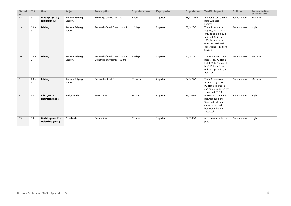| <b>Serial</b><br>no. | <b>TIB</b>   | Line                                    | Project                     | <b>Description</b>                                              | <b>Exp. duration</b> | Exp. period | Exp. dates    | <b>Traffic impact</b>                                                                                                                                                  | <b>Builder</b> | Categorisation,<br>cf. Annex VII |
|----------------------|--------------|-----------------------------------------|-----------------------------|-----------------------------------------------------------------|----------------------|-------------|---------------|------------------------------------------------------------------------------------------------------------------------------------------------------------------------|----------------|----------------------------------|
| 48                   | 31           | Guldager (excl.) -<br>Esbjerg(incl.)    | Renewal Esbjerg<br>Station. | Exchange of switches 160                                        | 2 days               | 2. garter   | $18/5 - 20/5$ | Alll trains cancelled in<br>part Guldager -<br>Esbjerg                                                                                                                 | Banedanmark    | Medium                           |
| 49                   | $29 +$<br>31 | Esbjerg                                 | Renewal Esbjerg<br>Station. | Renewal of track 3 and track 4                                  | 12 days              | 2. garter   | 08/5-20/5     | Track 4 cannot be<br>applied, track 3 can<br>only be applied by 1<br>train set. Switches<br>125a/b cannot be<br>operated, reduced<br>operations at Esbjerg<br>Station. | Banedanmark    | High                             |
| 50                   | $29 +$<br>31 | Esbjerg                                 | Renewal Esbjerg<br>Station. | Renewal of track 3 and track 4.<br>Exchange of switches 125 a/b | 4,5 days             | 2. garter   | $20/5 - 24/5$ | Tracks 3, 4 and 5 are<br>possessed. PU signal<br>H, E4, E5 til DV signal<br>N, O, P, track 3 can<br>only be applied by 1<br>train set                                  | Banedanmark    | Medium                           |
| 51                   | $29 +$<br>31 | Esbjerg                                 | Renewal Esbjerg<br>Station. | Renewal of track 3                                              | 56 hours             | 2. garter   | $24/5 - 27/5$ | Track 3 possessed<br>from PU signal E3 to<br>PU signal H, track 3<br>can only be applied by<br>1 train set 06-19                                                       | Banedanmark    | Medium                           |
| 52                   | 30           | Ribe (excl.) $-$<br>Skærbæk (excl.)     | Bridge works                | Reisolation                                                     | 21 days              | 3. garter   | $14/7 - 05/8$ | Possessed: Main track<br>between Ribe and<br>Skærbæk, all trains<br>cancelled in part<br>between Ribe and<br>Skærbæk.                                                  | Banedanmark    | High                             |
| 53                   | 33           | Gødstrup (excl.) -<br>Holstebro (excl.) | Broarbejde                  | Reisolation                                                     | 28 days              | 3. garter   | $07/7 - 05/8$ | All trains cancelled in<br>part                                                                                                                                        | Banedanmark    | High                             |